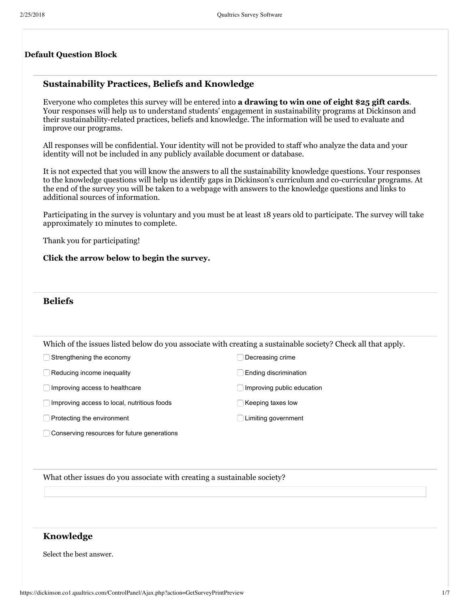#### **Default Question Block**

### **Sustainability Practices, Beliefs and Knowledge**

Everyone who completes this survey will be entered into **a drawing to win one of eight \$25 gift cards**. Your responses will help us to understand students' engagement in sustainability programs at Dickinson and their sustainability-related practices, beliefs and knowledge. The information will be used to evaluate and improve our programs.

All responses will be confidential. Your identity will not be provided to staff who analyze the data and your identity will not be included in any publicly available document or database.

It is not expected that you will know the answers to all the sustainability knowledge questions. Your responses to the knowledge questions will help us identify gaps in Dickinson's curriculum and co-curricular programs. At the end of the survey you will be taken to a webpage with answers to the knowledge questions and links to additional sources of information.

Participating in the survey is voluntary and you must be at least 18 years old to participate. The survey will take approximately 10 minutes to complete.

Thank you for participating!

**Click the arrow below to begin the survey.**

#### **Beliefs**

|  |  | Which of the issues listed below do you associate with creating a sustainable society? Check all that apply. |
|--|--|--------------------------------------------------------------------------------------------------------------|
|  |  |                                                                                                              |

◯ Strengthening the economy  $\Box$  Decreasing crime

Reducing income inequality Ending discrimination

Improving access to healthcare Improving public education

 $\Box$  Improving access to local, nutritious foods  $\Box$  Keeping taxes low

□ Protecting the environment <br>
■ Limiting government

Conserving resources for future generations

What other issues do you associate with creating a sustainable society?

### **Knowledge**

Select the best answer.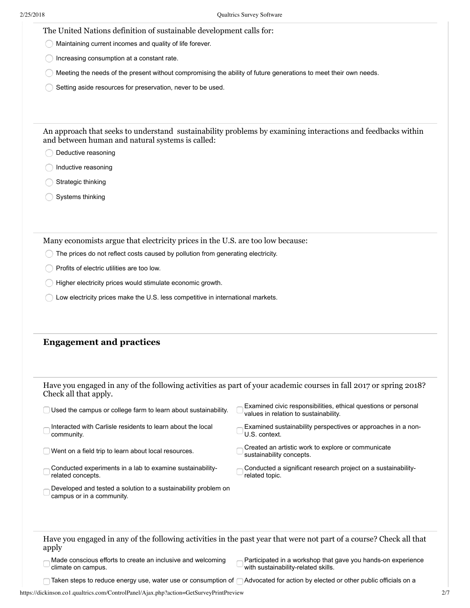The United Nations definition of sustainable development calls for:

Maintaining current incomes and quality of life forever.  $\bigcirc$ 

Increasing consumption at a constant rate.

Meeting the needs of the present without compromising the ability of future generations to meet their own needs.

Setting aside resources for preservation, never to be used.

An approach that seeks to understand sustainability problems by examining interactions and feedbacks within and between human and natural systems is called:

Deductive reasoning

- **Inductive reasoning**
- Strategic thinking
- Systems thinking

Many economists argue that electricity prices in the U.S. are too low because:

- The prices do not reflect costs caused by pollution from generating electricity.
- Profits of electric utilities are too low.
- Higher electricity prices would stimulate economic growth.
- Low electricity prices make the U.S. less competitive in international markets.

#### **Engagement and practices**

|                       |  | Have you engaged in any of the following activities as part of your academic courses in fall 2017 or spring 2018? |  |
|-----------------------|--|-------------------------------------------------------------------------------------------------------------------|--|
| Check all that apply. |  |                                                                                                                   |  |

| Used the campus or college farm to learn about sustainability.                              | Examined civic responsibilities, ethical questions or personal<br>values in relation to sustainability.             |
|---------------------------------------------------------------------------------------------|---------------------------------------------------------------------------------------------------------------------|
| Interacted with Carlisle residents to learn about the local<br>community.                   | Examined sustainability perspectives or approaches in a non-<br>U.S. context.                                       |
| Went on a field trip to learn about local resources.                                        | Created an artistic work to explore or communicate<br>sustainability concepts.                                      |
| Conducted experiments in a lab to examine sustainability-<br>related concepts.              | Conducted a significant research project on a sustainability-<br>related topic.                                     |
| Developed and tested a solution to a sustainability problem on<br>campus or in a community. |                                                                                                                     |
|                                                                                             |                                                                                                                     |
|                                                                                             |                                                                                                                     |
| apply                                                                                       | Have you engaged in any of the following activities in the past year that were not part of a course? Check all that |
| Made conscious efforts to create an inclusive and welcoming<br>climate on campus.           | Participated in a workshop that gave you hands-on experience<br>with sustainability-related skills.                 |
| Taken steps to reduce energy use, water use or consumption of (                             | Advocated for action by elected or other public officials on a                                                      |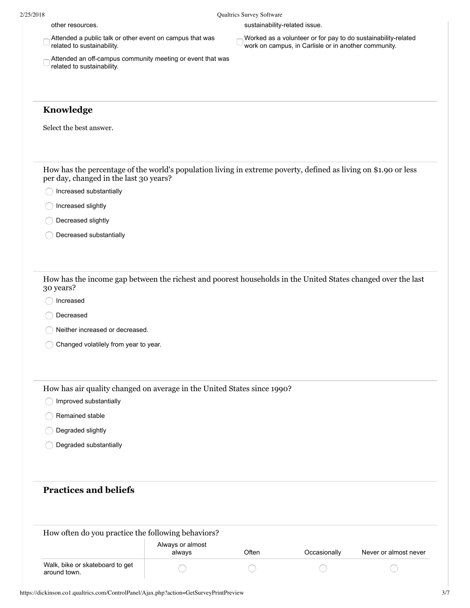other resources. sustainability-related issue.

| $\sim$ Attended a public talk or other event on campus that was<br>related to sustainability. |
|-----------------------------------------------------------------------------------------------|
|                                                                                               |

- Attended an off-campus community meeting or event that was related to sustainability.
- Worked as a volunteer or for pay to do sustainability-related work on campus, in Carlisle or in another community.

# **Knowledge**

Select the best answer.

| Walk, bike or skateboard to get                                                                              |                            |       |              |                       |
|--------------------------------------------------------------------------------------------------------------|----------------------------|-------|--------------|-----------------------|
| How often do you practice the following behaviors?                                                           | Always or almost<br>always | Often | Occasionally | Never or almost never |
|                                                                                                              |                            |       |              |                       |
| <b>Practices and beliefs</b>                                                                                 |                            |       |              |                       |
|                                                                                                              |                            |       |              |                       |
| Degraded substantially                                                                                       |                            |       |              |                       |
| Degraded slightly                                                                                            |                            |       |              |                       |
| Remained stable                                                                                              |                            |       |              |                       |
| Improved substantially                                                                                       |                            |       |              |                       |
| How has air quality changed on average in the United States since 1990?                                      |                            |       |              |                       |
|                                                                                                              |                            |       |              |                       |
| Changed volatilely from year to year.                                                                        |                            |       |              |                       |
| Neither increased or decreased.                                                                              |                            |       |              |                       |
| Decreased                                                                                                    |                            |       |              |                       |
| 30 years?<br>Increased                                                                                       |                            |       |              |                       |
| How has the income gap between the richest and poorest households in the United States changed over the last |                            |       |              |                       |
|                                                                                                              |                            |       |              |                       |
| Decreased substantially                                                                                      |                            |       |              |                       |
| Decreased slightly                                                                                           |                            |       |              |                       |
| Increased slightly                                                                                           |                            |       |              |                       |
| Increased substantially                                                                                      |                            |       |              |                       |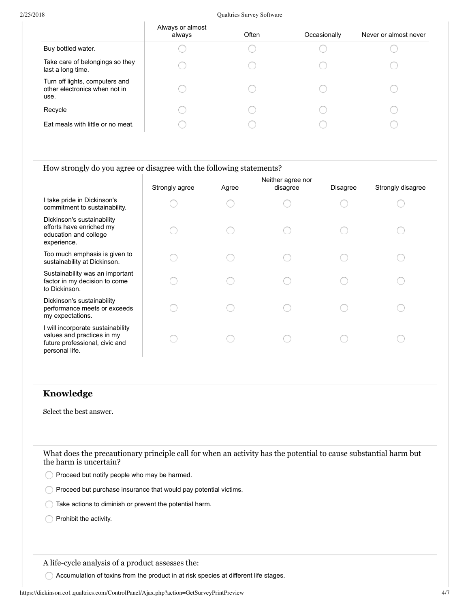#### 2/25/2018 Qualtrics Survey Software

|                                                                         | Always or almost<br>always | Often | Occasionally | Never or almost never |
|-------------------------------------------------------------------------|----------------------------|-------|--------------|-----------------------|
| Buy bottled water.                                                      |                            |       |              |                       |
| Take care of belongings so they<br>last a long time.                    |                            |       |              |                       |
| Turn off lights, computers and<br>other electronics when not in<br>use. |                            |       |              |                       |
| Recycle                                                                 |                            |       |              |                       |
| Eat meals with little or no meat.                                       |                            |       |              |                       |
|                                                                         |                            |       |              |                       |

#### How strongly do you agree or disagree with the following statements?

|                                                                                                                     | Strongly agree | Agree | Neither agree nor<br>disagree | Disagree | Strongly disagree |
|---------------------------------------------------------------------------------------------------------------------|----------------|-------|-------------------------------|----------|-------------------|
| I take pride in Dickinson's<br>commitment to sustainability.                                                        |                |       |                               |          |                   |
| Dickinson's sustainability<br>efforts have enriched my<br>education and college<br>experience.                      |                |       |                               |          |                   |
| Too much emphasis is given to<br>sustainability at Dickinson.                                                       |                |       |                               |          |                   |
| Sustainability was an important<br>factor in my decision to come<br>to Dickinson.                                   |                |       |                               |          |                   |
| Dickinson's sustainability<br>performance meets or exceeds<br>my expectations.                                      |                |       |                               |          |                   |
| I will incorporate sustainability<br>values and practices in my<br>future professional, civic and<br>personal life. |                |       |                               |          |                   |

### **Knowledge**

Select the best answer.

What does the precautionary principle call for when an activity has the potential to cause substantial harm but the harm is uncertain?

Proceed but notify people who may be harmed.

Proceed but purchase insurance that would pay potential victims.

Take actions to diminish or prevent the potential harm.

Prohibit the activity.

A life-cycle analysis of a product assesses the:

Accumulation of toxins from the product in at risk species at different life stages.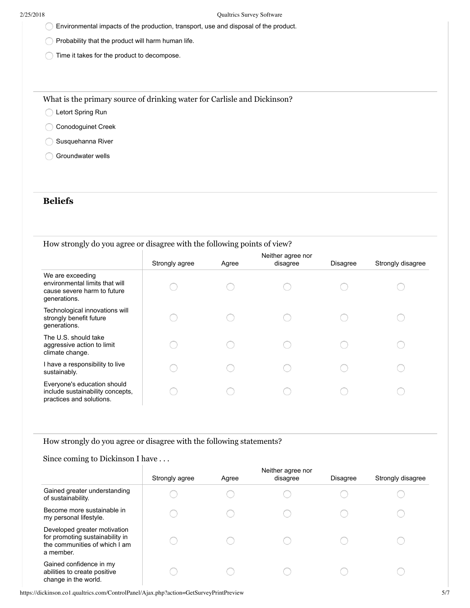- Environmental impacts of the production, transport, use and disposal of the product.
- Probability that the product will harm human life.
- Time it takes for the product to decompose.

What is the primary source of drinking water for Carlisle and Dickinson?

- C Letort Spring Run
- Conodoguinet Creek
- Susquehanna River
- Groundwater wells

## **Beliefs**

How strongly do you agree or disagree with the following points of view?

|                                                                                                   | Strongly agree | Agree | Neither agree nor<br>disagree | <b>Disagree</b> | Strongly disagree |
|---------------------------------------------------------------------------------------------------|----------------|-------|-------------------------------|-----------------|-------------------|
| We are exceeding<br>environmental limits that will<br>cause severe harm to future<br>generations. |                |       |                               |                 |                   |
| Technological innovations will<br>strongly benefit future<br>generations.                         |                |       |                               |                 |                   |
| The U.S. should take<br>aggressive action to limit<br>climate change.                             |                |       |                               |                 |                   |
| I have a responsibility to live<br>sustainably.                                                   |                |       |                               |                 |                   |
| Everyone's education should<br>include sustainability concepts,<br>practices and solutions.       |                |       |                               |                 |                   |

How strongly do you agree or disagree with the following statements?

### Since coming to Dickinson I have . . .

|                                                                                                               | Strongly agree | Agree | Neither agree nor<br>disagree | <b>Disagree</b> | Strongly disagree |
|---------------------------------------------------------------------------------------------------------------|----------------|-------|-------------------------------|-----------------|-------------------|
| Gained greater understanding<br>of sustainability.                                                            |                |       |                               |                 |                   |
| Become more sustainable in<br>my personal lifestyle.                                                          |                |       |                               |                 |                   |
| Developed greater motivation<br>for promoting sustainability in<br>the communities of which I am<br>a member. |                |       |                               |                 |                   |
| Gained confidence in my<br>abilities to create positive<br>change in the world.                               |                |       |                               |                 |                   |

https://dickinson.co1.qualtrics.com/ControlPanel/Ajax.php?action=GetSurveyPrintPreview 5/7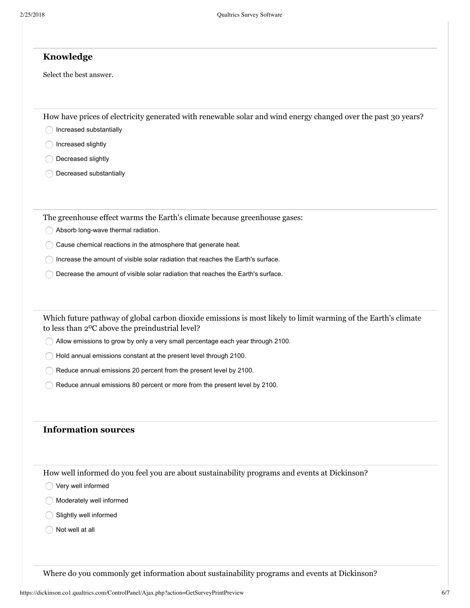### **Knowledge**

Select the best answer.

How have prices of electricity generated with renewable solar and wind energy changed over the past 30 years?

Increased substantially

Increased slightly

**Decreased slightly** 

**Decreased substantially** 

The greenhouse effect warms the Earth's climate because greenhouse gases:

- Absorb long-wave thermal radiation.
- Cause chemical reactions in the atmosphere that generate heat.
- Increase the amount of visible solar radiation that reaches the Earth's surface.
- Decrease the amount of visible solar radiation that reaches the Earth's surface.

Which future pathway of global carbon dioxide emissions is most likely to limit warming of the Earth's climate to less than 2<sup>o</sup>C above the preindustrial level?

Allow emissions to grow by only a very small percentage each year through 2100.

Hold annual emissions constant at the present level through 2100.

- Reduce annual emissions 20 percent from the present level by 2100.
- Reduce annual emissions 80 percent or more from the present level by 2100.

### **Information sources**

How well informed do you feel you are about sustainability programs and events at Dickinson?

- Very well informed
- Moderately well informed
- Slightly well informed
- $\bigcap$  Not well at all

Where do you commonly get information about sustainability programs and events at Dickinson?